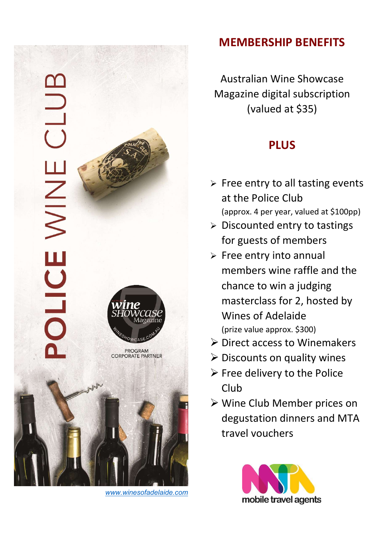

www.winesofadelaide.com

## MEMBERSHIP BENEFITS

Australian Wine Showcase Magazine digital subscription (valued at \$35)

## PLUS

- $\triangleright$  Free entry to all tasting events at the Police Club (approx. 4 per year, valued at \$100pp)
- $\triangleright$  Discounted entry to tastings for guests of members
- $\triangleright$  Free entry into annual members wine raffle and the chance to win a judging masterclass for 2, hosted by Wines of Adelaide (prize value approx. \$300)
- $\triangleright$  Direct access to Winemakers
- $\triangleright$  Discounts on quality wines
- $\triangleright$  Free delivery to the Police Club
- Wine Club Member prices on degustation dinners and MTA travel vouchers